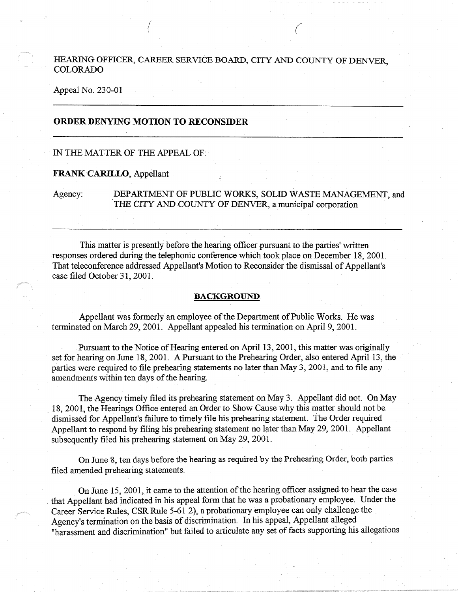# HEARING OFFICER, CAREER SERVICE BOARD, CITY AND COUNTY OF DENVER, COLORADO

( *(* 

#### Appeal No. 230-01

## **ORDER DENYING MOTION TO RECONSIDER**

#### · IN THE MATTER OF THE APPEAL OF:

#### **FRANK CARILLO, Appellant**

# Agency: DEPARTMENT OF PUBLIC WORKS, SOLID WASTE MANAGEMENT, and THE CITY AND COUNTY OF DENVER, a municipal corporation

This matter is presently before the hearing officer pursuant to the parties' written responses ordered during the telephonic conference which took place on December 18, 2001. That teleconference addressed Appellant's Motion to Reconsider the dismissal of Appellant's case filed October 31, 2001.

#### **BACKGROUND.**

Appellant was formerly an employee of the Department of Public Works. He was terminated on March 29, 2001. Appellant appealed his termination on April 9, 2001.

Pursuant to the Notice of Hearing entered on April 13, 2001, this matter was originally set for hearing on June 18, 2001. A Pursuant to the Prehearing Order, also entered April 13, the parties were required to file prehearing statements no later than May 3, 2001, and to file any amendments within ten days of the hearing.

The Agency timely filed its prehearing statement on May 3. Appellant did not. On May 18, 2001, the Hearings Office entered an Order to Show Cause why this matter should not be dismissed for Appellant's failure to timely file his prehearing statement. The Order required Appellant to respond by filing his prehearing statement no later than May 29, 2001. Appellant subsequently filed his prehearing statement on May 29, 2001.

On June 8, ten days before the hearing as required by the Prehearing Order, both parties filed amended prehearing statements.

On June 15, 2001, it came to the attention of the hearing officer assigned to hear the case . that Appellant had indicated in his appeal form that he was a probationary employee. Under the Career Service Rules, CSR Rule 5-61 2), a probationary employee can only challenge the Agency's termination on the basis of discrimination. In his appeal, Appellant alleged "harassment and discrimination" but failed to articulate any set of facts supporting his allegations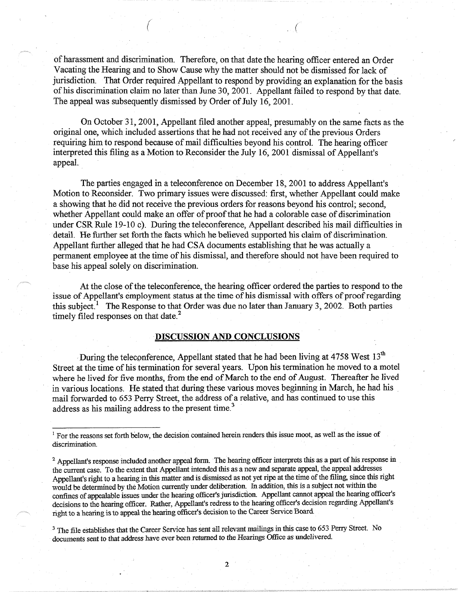of harassment and discrimination. Therefore, on that date the hearing officer entered an Order Vacating the Hearing and to Show Cause why the matter should not be dismissed for lack of jurisdiction. That Order required Appellant to respond by providing an explanation for the basis of his discrimination claim no later than June 30, 2001. Appellant failed to respond by that date. The appeal was subsequently dismissed by Order of July 16, 2001.

*(* ' (

On October 31, 2001, Appellant filed another appeal, presumably on the same facts as the original one, which included assertions that he had not received any of the previous Orders requiring him to respond because of mail difficulties beyond his control. The hearing officer interpreted this filing as a Motion to Reconsider the July 16, 2001 dismissal of Appellant's appeal.

The parties engaged in a teleconference on December 18, 2001 to address Appellant's Motion to Reconsider. Two primary issues were discussed: first, whether Appellant could make a showing that he did not receive the previous orders for reasons beyond his control; second, whether Appellant could make an offer of proof that he had a colorable case of discrimination under CSR Rule 19-10 c). During the teleconference, Appellant described his mail difficulties in detail. He further set forth the facts which he believed supported his claim of discrimination. Appellant further alleged that he had CSA documents establishing that he was actually a permanent employee at the time of his dismissal, and therefore should not have been required to base his appeal solely on discrimination.

At the close of the teleconference, the hearing officer ordered the parties to respond to the issue of Appellant's employment status at the time of his dismissal with offers of proof regarding this subject.<sup>1</sup> The Response to that Order was due no later than January 3, 2002. Both parties timely filed responses on that date.<sup>2</sup>

## **·DISCUSSION AND CONCLUSIONS**

During the teleconference, Appellant stated that he had been living at 4758 West  $13<sup>th</sup>$ Street at the time of his termination for several years. Upon his termination he moved to a motel where he lived for five months, from the end of March to the end of August. Thereafter he lived in various locations. He stated that during these various moves beginning in March, he had his . mail forwarded to 653 Perry Street, the address of a relative, and has continued to use this address as his mailing address to the present time.<sup>3</sup>

<sup>3</sup> The file establishes that the Career Service has sent all relevant mailings in this case to 653 Perry Street. No documents sent to that address have ever been retumed to the Hearings Office as undelivered.

2

<sup>&</sup>lt;sup>1</sup> For the reasons set forth below, the decision contained herein renders this issue moot, as well as the issue of discrimination.

<sup>&</sup>lt;sup>2</sup> Appellant's response included another appeal form. The hearing officer interprets this as a part of his response in the current case. To the extent that Appellant intended this as a new and separate appeal, the appeal addresses Appellant's right to a hearing in this matter and is dismissed as not yet ripe at the time of the filing, since this right would be determined by the Motion currently under deliberation. In addition, this is a subject not within the confines of appealable issues under the hearing officer's jurisdiction. Appellant cannot appeal the hearing officer's decisions to the hearing officer. Rather, Appellant's redress to the hearing officer's decision regarding Appellant's right to a hearing is to appeal the hearing officer's decision to the Career Service Board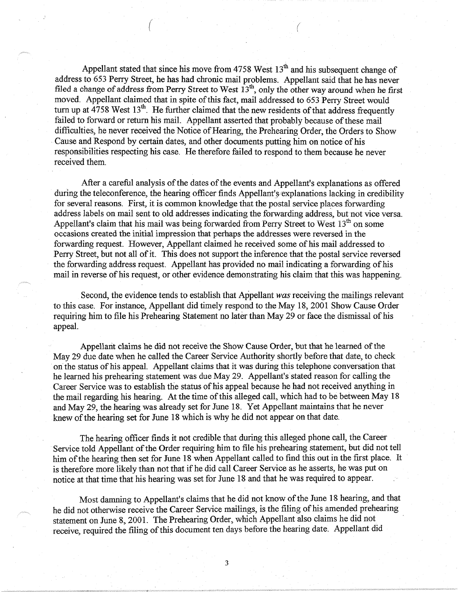Appellant stated that since his move from 4758 West  $13<sup>th</sup>$  and his subsequent change of address to 653 Perry Street, he has had chronic mail problems. Appellant said that he has never filed a change of address from Perry Street to West  $13<sup>th</sup>$ , only the other way around when he first moved. Appellant claimed that in spite of this fact, mail addressed to 653 Perry Street would turn up at  $4758$  West  $13<sup>th</sup>$ . He further claimed that the new residents of that address frequently failed to forward or return his mail. Appellant asserted that probably because of these mail difficulties, he never received the Notice of Hearing, the Prehearing Order, the Orders to Show • Cause and Respond by certain dates, and other documents putting him on notice of his responsibilities respecting his case. He therefore failed to respond to them because he never received them.

( *(* 

After a careful analysis of the dates of the events and Appellant's explanations as offered during the teleconference, the hearing officer finds Appellant'§•explanations lacking in credibility for several reasons. First, it is common knowledge that the postal service places forwarding address labels on mail sent to old addresses indicating the forwarding address, but not vice versa. Appellant's claim that his mail was being forwarded from Perry Street to West  $13<sup>th</sup>$  on some occasions created the initial impression that perhaps the addresses were reversed in the forwarding request. However, Appellant claimed he received some of his mail addressed to Perry Street, but not all of it. This does not support the inference that the postal service reversed the forwarding address request. Appellant has provided no mail indicating a forwarding of his mail in reverse of his request, or other evidence demonstrating his claim that this was happening.

Second, the evidence tends to establish that Appellant *was* receiving the mailings relevant to this case. For instance, Appellant did timely respond to the May 18, 2001 Show Cause Order requiring him to file his Prehearing Statement no later than May 29 or face the dismissal of his appeal.

Appellant claims he did not receive the Show Cause Order, but that he learned of the May 29 due date when he called the Career Service Authority shortly before that date, to check on the status of his appeal. Appellant claims that it was during this telephone conversation that he learned his prehearing statement was due May 29. Appellant's stated reason for calling the Career Service was to establish the status of his appeal because he had not received anything in the mail regarding his hearing. At the time of this alleged call, which had to be between May 18 and May 29, the hearing was already set for June 18. Yet Appellant maintains that he never knew of the hearing set for June 18 which is why he did not appear on that date.

The hearing officer finds it not credible that during this alleged phone call, the Career Service told Appellant of the Order requiring him to file his prehearing statement, but did not tell him of the hearing then set for June 18 when Appellant called to find this out in the first place. It is therefore more likely than not that if he did call Career Service as he asserts, he was put on notice at that time that his hearing was set for June 18 and that he was required to appear.

Most damning to Appellant's claims that he did not know of the June 18 hearing, and that he did not otherwise receive the Career Service mailings, is the filing of his amended prehearing statement on June 8, 2001. The Prehearing Order, which Appellant also claims he did not receive, required the filing of this document ten days before the hearing date. Appellant did

3